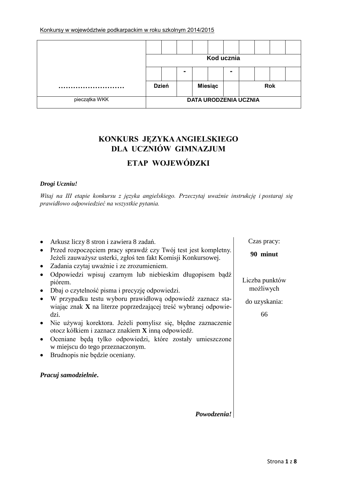#### Konkursy w województwie podkarpackim w roku szkolnym 2014/2015

|               |              |  | Kod ucznia                   |   |  |            |  |
|---------------|--------------|--|------------------------------|---|--|------------|--|
|               |              |  |                              | - |  |            |  |
|               | <b>Dzień</b> |  | <b>Miesiąc</b>               |   |  | <b>Rok</b> |  |
| pieczątka WKK |              |  | <b>DATA URODZENIA UCZNIA</b> |   |  |            |  |

# **KONKURS JĘZYKA ANGIELSKIEGO DLA UCZNIÓW GIMNAZJUM**

# **ETAP WOJEWÓDZKI**

### *Drogi Uczniu!*

*Witaj na III etapie konkursu z języka angielskiego. Przeczytaj uważnie instrukcję i postaraj się prawidłowo odpowiedzieć na wszystkie pytania.*

| Arkusz liczy 8 stron i zawiera 8 zadań.                                                                                         | Czas pracy:    |
|---------------------------------------------------------------------------------------------------------------------------------|----------------|
| Przed rozpoczęciem pracy sprawdź czy Twój test jest kompletny.<br>Jeżeli zauważysz usterki, zgłoś ten fakt Komisji Konkursowej. | 90 minut       |
| Zadania czytaj uważnie i ze zrozumieniem.                                                                                       |                |
| Odpowiedzi wpisuj czarnym lub niebieskim długopisem bądź<br>piórem.                                                             | Liczba punktów |
| Dbaj o czytelność pisma i precyzję odpowiedzi.                                                                                  | możliwych      |
| W przypadku testu wyboru prawidłową odpowiedź zaznacz sta-<br>wiając znak X na literze poprzedzającej treść wybranej odpowie-   | do uzyskania:  |
| dzi.                                                                                                                            | 66             |
| Nie używaj korektora. Jeżeli pomylisz się, błędne zaznaczenie<br>otocz kółkiem i zaznacz znakiem X inną odpowiedź.              |                |
| Oceniane będą tylko odpowiedzi, które zostały umieszczone<br>w miejscu do tego przeznaczonym.                                   |                |
| Brudnopis nie będzie oceniany.                                                                                                  |                |
| Pracuj samodzielnie.                                                                                                            |                |

*Powodzenia!*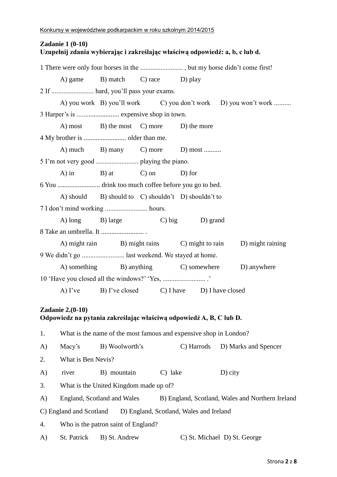# **Zadanie 1 (0-10) Uzupełnij zdania wybierając i zakreślając właściwą odpowiedź: a, b, c lub d.** 1 There were only four horses in the ......................... , but my horse didn't come first! A) game B) match C) race D) play 2 If ......................... hard, you'll pass your exams. A) you work B) you'll work C) you don't work D) you won't work .......... 3 Harper's is ......................... expensive shop in town. A) most B) the most C) more D) the more 4 My brother is ......................... older than me. A) much B) many C) more D) most ......... 5 I'm not very good ......................... playing the piano. A) in B) at C) on D) for 6 You ......................... drink too much coffee before you go to bed. A) should B) should to C) shouldn't D) shouldn't to 7 I don't mind working ......................... hours. A) long B) large C) big D) grand 8 Take an umbrella. It ......................... . A) might rain B) might rains C) might to rain D) might raining 9 We didn't go ......................... last weekend. We stayed at home. A) something B) anything C) somewhere D) anywhere 10 'Have you closed all the windows?' 'Yes, ......................... .' A) I've B) I've closed C) I have D) I have closed **Zadanie 2.(0-10) Odpowiedz na pytania zakreślając właściwą odpowiedź A, B, C lub D.** 1. What is the name of the most famous and expensive shop in London? A) Macy's B) Woolworth's C) Harrods D) Marks and Spencer 2. What is Ben Nevis? A) river B) mountain C) lake D) city 3. What is the United Kingdom made up of? A) England, Scotland and Wales B) England, Scotland, Wales and Northern Ireland C) England and Scotland D) England, Scotland, Wales and Ireland 4. Who is the patron saint of England? A) St. Patrick B) St. Andrew C) St. Michael D) St. George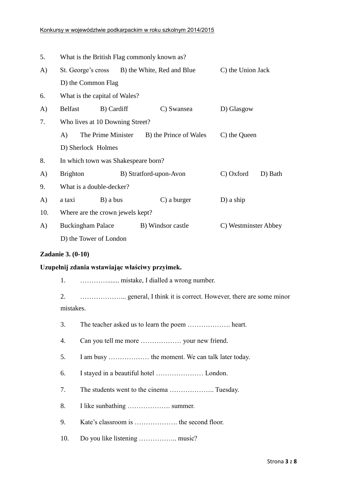| 5.  | What is the British Flag commonly known as?                       |                        |                                               |                      |  |  |
|-----|-------------------------------------------------------------------|------------------------|-----------------------------------------------|----------------------|--|--|
| A)  |                                                                   |                        | St. George's cross B) the White, Red and Blue | C) the Union Jack    |  |  |
|     | D) the Common Flag                                                |                        |                                               |                      |  |  |
| 6.  | What is the capital of Wales?                                     |                        |                                               |                      |  |  |
| A)  | <b>Belfast</b>                                                    | B) Cardiff             | C) Swansea                                    | D) Glasgow           |  |  |
| 7.  | Who lives at 10 Downing Street?                                   |                        |                                               |                      |  |  |
|     | A)                                                                | The Prime Minister     | B) the Prince of Wales                        | C) the Queen         |  |  |
|     | D) Sherlock Holmes                                                |                        |                                               |                      |  |  |
| 8.  | In which town was Shakespeare born?                               |                        |                                               |                      |  |  |
| A)  | C) Oxford<br><b>Brighton</b><br>B) Stratford-upon-Avon<br>D) Bath |                        |                                               |                      |  |  |
| 9.  | What is a double-decker?                                          |                        |                                               |                      |  |  |
| A)  | a taxi                                                            | $B)$ a bus             | $C$ ) a burger                                | $D$ ) a ship         |  |  |
| 10. | Where are the crown jewels kept?                                  |                        |                                               |                      |  |  |
| A)  | <b>Buckingham Palace</b>                                          |                        | B) Windsor castle                             | C) Westminster Abbey |  |  |
|     |                                                                   | D) the Tower of London |                                               |                      |  |  |

### **Zadanie 3. (0-10)**

### **Uzupełnij zdania wstawiając właściwy przyimek.**

1. …………....... mistake, I dialled a wrong number.

2. ………………... general, I think it is correct. However, there are some minor mistakes.

- 3. The teacher asked us to learn the poem ………………. heart.
- 4. Can you tell me more ……………… your new friend.
- 5. I am busy ……………… the moment. We can talk later today.
- 6. I stayed in a beautiful hotel ………………… London.
- 7. The students went to the cinema ……………….. Tuesday.
- 8. I like sunbathing ………………. summer.
- 9. Kate's classroom is ………………. the second floor.
- 10. Do you like listening …………….. music?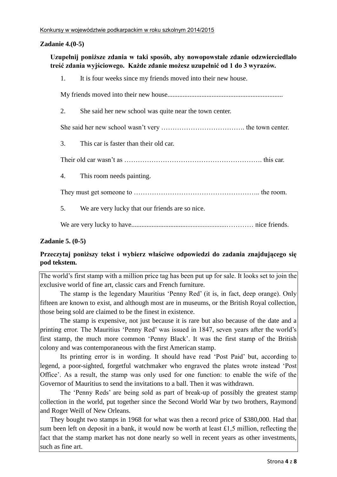# **Zadanie 4.(0-5)**

# **Uzupełnij poniższe zdania w taki sposób, aby nowopowstałe zdanie odzwierciedlało treść zdania wyjściowego. Każde zdanie możesz uzupełnić od 1 do 3 wyrazów.**

|    | 1. It is four weeks since my friends moved into their new house. |
|----|------------------------------------------------------------------|
|    |                                                                  |
| 2. | She said her new school was quite near the town center.          |
|    |                                                                  |
| 3. | This car is faster than their old car.                           |
|    |                                                                  |
|    | 4. This room needs painting.                                     |
|    |                                                                  |
| 5. | We are very lucky that our friends are so nice.                  |
|    |                                                                  |
|    |                                                                  |

# **Zadanie 5. (0-5)**

# **Przeczytaj poniższy tekst i wybierz właściwe odpowiedzi do zadania znajdującego się pod tekstem.**

The world's first stamp with a million price tag has been put up for sale. It looks set to join the exclusive world of fine art, classic cars and French furniture.

The stamp is the legendary Mauritius 'Penny Red' (it is, in fact, deep orange). Only fifteen are known to exist, and although most are in museums, or the British Royal collection, those being sold are claimed to be the finest in existence.

The stamp is expensive, not just because it is rare but also because of the date and a printing error. The Mauritius 'Penny Red' was issued in 1847, seven years after the world's first stamp, the much more common 'Penny Black'. It was the first stamp of the British colony and was contemporaneous with the first American stamp.

Its printing error is in wording. It should have read 'Post Paid' but, according to legend, a poor-sighted, forgetful watchmaker who engraved the plates wrote instead 'Post Office'. As a result, the stamp was only used for one function: to enable the wife of the Governor of Mauritius to send the invitations to a ball. Then it was withdrawn.

The 'Penny Reds' are being sold as part of break-up of possibly the greatest stamp collection in the world, put together since the Second World War by two brothers, Raymond and Roger Weill of New Orleans.

They bought two stamps in 1968 for what was then a record price of \$380,000. Had that sum been left on deposit in a bank, it would now be worth at least £1,5 million, reflecting the fact that the stamp market has not done nearly so well in recent years as other investments, such as fine art.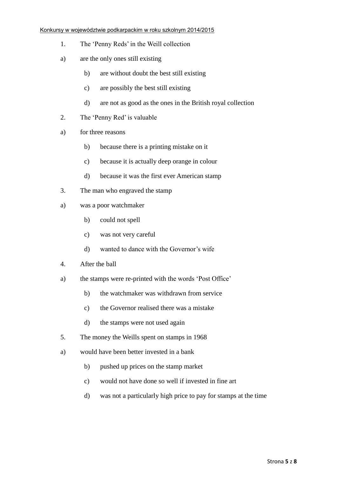#### Konkursy w województwie podkarpackim w roku szkolnym 2014/2015

- 1. The 'Penny Reds' in the Weill collection
- a) are the only ones still existing
	- b) are without doubt the best still existing
	- c) are possibly the best still existing
	- d) are not as good as the ones in the British royal collection
- 2. The 'Penny Red' is valuable
- a) for three reasons
	- b) because there is a printing mistake on it
	- c) because it is actually deep orange in colour
	- d) because it was the first ever American stamp
- 3. The man who engraved the stamp
- a) was a poor watchmaker
	- b) could not spell
	- c) was not very careful
	- d) wanted to dance with the Governor's wife
- 4. After the ball
- a) the stamps were re-printed with the words 'Post Office'
	- b) the watchmaker was withdrawn from service
	- c) the Governor realised there was a mistake
	- d) the stamps were not used again
- 5. The money the Weills spent on stamps in 1968
- a) would have been better invested in a bank
	- b) pushed up prices on the stamp market
	- c) would not have done so well if invested in fine art
	- d) was not a particularly high price to pay for stamps at the time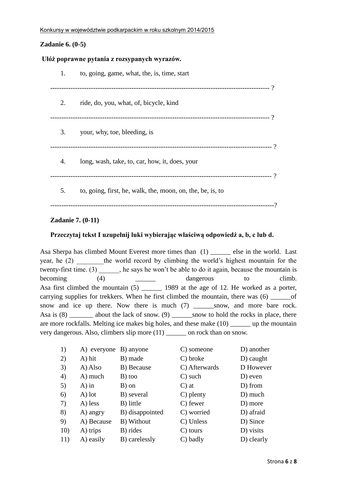# **Zadanie 6. (0-5)**

#### **Ułóż poprawne pytania z rozsypanych wyrazów.**

| 1. | to, going, game, what, the, is, time, start                |     |
|----|------------------------------------------------------------|-----|
| 2. | ride, do, you, what, of, bicycle, kind                     |     |
| 3. | your, why, toe, bleeding, is                               |     |
| 4. | long, wash, take, to, car, how, it, does, your             | - ? |
| 5. | to, going, first, he, walk, the, moon, on, the, be, is, to |     |
|    |                                                            |     |

# **Zadanie 7. (0-11)**

## **Przeczytaj tekst I uzupełnij luki wybierając właściwą odpowiedź a, b, c lub d.**

Asa Sherpa has climbed Mount Everest more times than (1) \_\_\_\_\_\_\_ else in the world. Last year, he (2) the world record by climbing the world's highest mountain for the twenty-first time. (3) \_\_\_\_\_\_, he says he won't be able to do it again, because the mountain is becoming (4) dangerous to climb. Asa first climbed the mountain (5) 1989 at the age of 12. He worked as a porter, carrying supplies for trekkers. When he first climbed the mountain, there was  $(6)$  \_\_\_\_\_\_\_of snow and ice up there. Now there is much (7) \_\_\_\_\_\_\_snow, and more bare rock. Asa is  $(8)$  \_\_\_\_\_\_\_\_\_ about the lack of snow.  $(9)$  \_\_\_\_\_\_\_snow to hold the rocks in place, there are more rockfalls. Melting ice makes big holes, and these make (10) \_\_\_\_\_\_ up the mountain very dangerous. Also, climbers slip more (11) \_\_\_\_\_\_ on rock than on snow.

| 1)  | A) everyone | B) anyone       | C) someone        | D) another  |
|-----|-------------|-----------------|-------------------|-------------|
| 2)  | A) hit      | B) made         | C) broke          | $D)$ caught |
| 3)  | A) Also     | B) Because      | C) Afterwards     | D However   |
| 4)  | A) much     | B) too          | $C)$ such         | D) even     |
| 5)  | $A)$ in     | B) on           | $\mathbf{C}$ ) at | D) from     |
| 6)  | $A)$ lot    | B) several      | C) plenty         | D) much     |
| 7)  | A) less     | B) little       | C) fewer          | D) more     |
| 8)  | A) angry    | B) disappointed | C) worried        | D) afraid   |
| 9)  | A) Because  | B) Without      | C) Unless         | D) Since    |
| 10) | A) trips    | B) rides        | C) tours          | D) visits   |
| 11) | A) easily   | B) carelessly   | C) badly          | D) clearly  |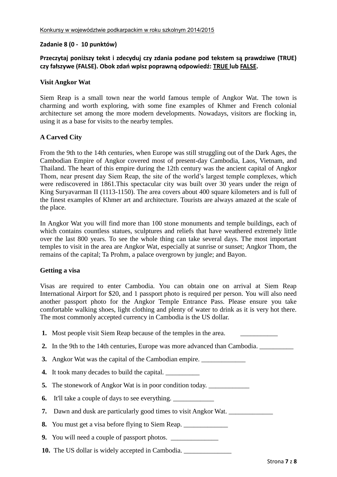#### **Zadanie 8 (0 - 10 punktów)**

# **Przeczytaj poniższy tekst i zdecyduj czy zdania podane pod tekstem są prawdziwe (TRUE) czy fałszywe (FALSE). Obok zdań wpisz poprawną odpowiedź: TRUE lub FALSE.**

#### **Visit Angkor Wat**

Siem Reap is a small town near the world famous temple of Angkor Wat. The town is charming and worth exploring, with some fine examples of Khmer and French colonial architecture set among the more modern developments. Nowadays, visitors are flocking in, using it as a base for visits to the nearby temples.

### **A Carved City**

From the 9th to the 14th centuries, when Europe was still struggling out of the Dark Ages, the Cambodian Empire of Angkor covered most of present-day Cambodia, Laos, Vietnam, and Thailand. The heart of this empire during the 12th century was the ancient capital of Angkor Thom, near present day Siem Reap, the site of the world's largest temple complexes, which were rediscovered in 1861.This spectacular city was built over 30 years under the reign of King Suryavarman II (1113-1150). The area covers about 400 square kilometers and is full of the finest examples of Khmer art and architecture. Tourists are always amazed at the scale of the place.

In Angkor Wat you will find more than 100 stone monuments and temple buildings, each of which contains countless statues, sculptures and reliefs that have weathered extremely little over the last 800 years. To see the whole thing can take several days. The most important temples to visit in the area are Angkor Wat, especially at sunrise or sunset; Angkor Thom, the remains of the capital; Ta Prohm, a palace overgrown by jungle; and Bayon.

### **Getting a visa**

Visas are required to enter Cambodia. You can obtain one on arrival at Siem Reap International Airport for \$20, and 1 passport photo is required per person. You will also need another passport photo for the Angkor Temple Entrance Pass. Please ensure you take comfortable walking shoes, light clothing and plenty of water to drink as it is very hot there. The most commonly accepted currency in Cambodia is the US dollar.

| 1. Most people visit Siem Reap because of the temples in the area.                     |
|----------------------------------------------------------------------------------------|
| 2. In the 9th to the 14th centuries, Europe was more advanced than Cambodia.           |
| <b>3.</b> Angkor Wat was the capital of the Cambodian empire.                          |
| 4. It took many decades to build the capital.                                          |
| 5. The stonework of Angkor Wat is in poor condition today.                             |
| <b>6.</b> It'll take a couple of days to see everything. _____________________________ |
| <b>7.</b> Dawn and dusk are particularly good times to visit Angkor Wat.               |
| 8. You must get a visa before flying to Siem Reap.                                     |
| <b>9.</b> You will need a couple of passport photos.                                   |
| <b>10.</b> The US dollar is widely accepted in Cambodia.                               |